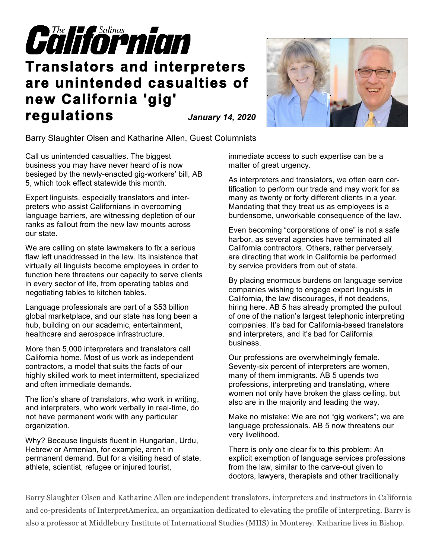

## **Translators and interpreters are unintended casualties of new California 'gig' regulations** *January 14, 2020*

Barry Slaughter Olsen and Katharine Allen, Guest Columnists

Call us unintended casualties. The biggest business you may have never heard of is now besieged by the newly-enacted gig-workers' bill, AB 5, which took effect statewide this month.

Expert linguists, especially translators and interpreters who assist Californians in overcoming language barriers, are witnessing depletion of our ranks as fallout from the new law mounts across our state.

We are calling on state lawmakers to fix a serious flaw left unaddressed in the law. Its insistence that virtually all linguists become employees in order to function here threatens our capacity to serve clients in every sector of life, from operating tables and negotiating tables to kitchen tables.

Language professionals are part of a \$53 billion global marketplace, and our state has long been a hub, building on our academic, entertainment, healthcare and aerospace infrastructure.

More than 5,000 interpreters and translators call California home. Most of us work as independent contractors, a model that suits the facts of our highly skilled work to meet intermittent, specialized and often immediate demands.

The lion's share of translators, who work in writing, and interpreters, who work verbally in real-time, do not have permanent work with any particular organization.

Why? Because linguists fluent in Hungarian, Urdu, Hebrew or Armenian, for example, aren't in permanent demand. But for a visiting head of state, athlete, scientist, refugee or injured tourist,

immediate access to such expertise can be a matter of great urgency.

As interpreters and translators, we often earn certification to perform our trade and may work for as many as twenty or forty different clients in a year. Mandating that they treat us as employees is a burdensome, unworkable consequence of the law.

Even becoming "corporations of one" is not a safe harbor, as several agencies have terminated all California contractors. Others, rather perversely, are directing that work in California be performed by service providers from out of state.

By placing enormous burdens on language service companies wishing to engage expert linguists in California, the law discourages, if not deadens, hiring here. AB 5 has already prompted the pullout of one of the nation's largest telephonic interpreting companies. It's bad for California-based translators and interpreters, and it's bad for California business.

Our professions are overwhelmingly female. Seventy-six percent of interpreters are women, many of them immigrants. AB 5 upends two professions, interpreting and translating, where women not only have broken the glass ceiling, but also are in the majority and leading the way.

Make no mistake: We are not "gig workers"; we are language professionals. AB 5 now threatens our very livelihood.

There is only one clear fix to this problem: An explicit exemption of language services professions from the law, similar to the carve-out given to doctors, lawyers, therapists and other traditionally

Barry Slaughter Olsen and Katharine Allen are independent translators, interpreters and instructors in California and co-presidents of InterpretAmerica, an organization dedicated to elevating the profile of interpreting. Barry is also a professor at Middlebury Institute of International Studies (MIIS) in Monterey. Katharine lives in Bishop.